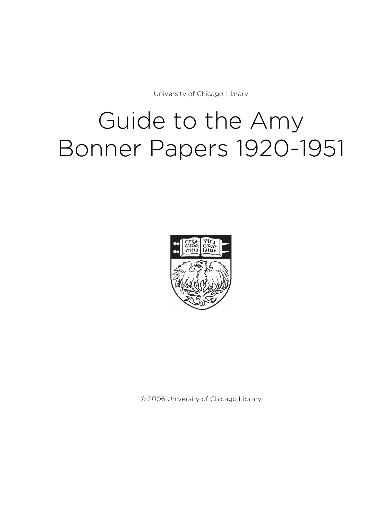University of Chicago Library

# Guide to the Amy Bonner Papers 1920-1951



© 2006 University of Chicago Library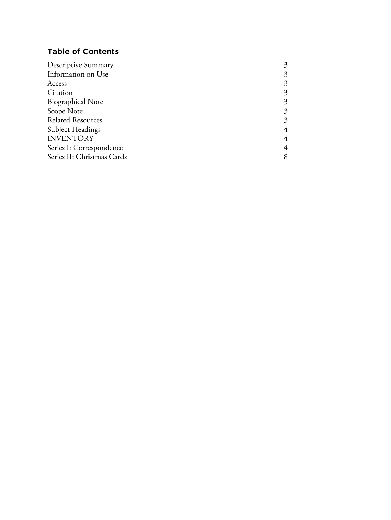# **Table of Contents**

| <b>Descriptive Summary</b> | 3 |
|----------------------------|---|
| Information on Use         | 3 |
| Access                     | 3 |
| Citation                   | 3 |
| <b>Biographical Note</b>   | 3 |
| Scope Note                 | 3 |
| <b>Related Resources</b>   | 3 |
| Subject Headings           | 4 |
| <b>INVENTORY</b>           | 4 |
| Series I: Correspondence   | 4 |
| Series II: Christmas Cards | 8 |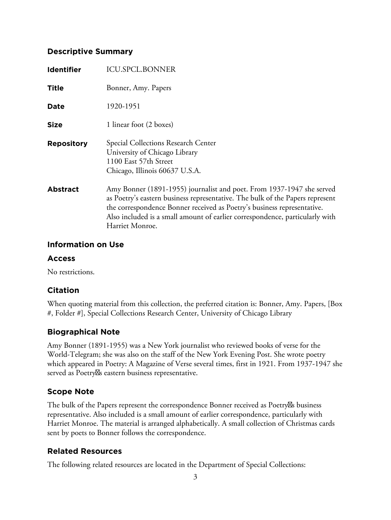# **Descriptive Summary**

| <b>Identifier</b> | <b>ICU.SPCL.BONNER</b>                                                                                                                                                                                                                                                                                                               |
|-------------------|--------------------------------------------------------------------------------------------------------------------------------------------------------------------------------------------------------------------------------------------------------------------------------------------------------------------------------------|
| <b>Title</b>      | Bonner, Amy. Papers                                                                                                                                                                                                                                                                                                                  |
| Date              | 1920-1951                                                                                                                                                                                                                                                                                                                            |
| <b>Size</b>       | 1 linear foot (2 boxes)                                                                                                                                                                                                                                                                                                              |
| <b>Repository</b> | Special Collections Research Center<br>University of Chicago Library<br>1100 East 57th Street<br>Chicago, Illinois 60637 U.S.A.                                                                                                                                                                                                      |
| <b>Abstract</b>   | Amy Bonner (1891-1955) journalist and poet. From 1937-1947 she served<br>as Poetry's eastern business representative. The bulk of the Papers represent<br>the correspondence Bonner received as Poetry's business representative.<br>Also included is a small amount of earlier correspondence, particularly with<br>Harriet Monroe. |

# **Information on Use**

# **Access**

No restrictions.

# **Citation**

When quoting material from this collection, the preferred citation is: Bonner, Amy. Papers, [Box #, Folder #], Special Collections Research Center, University of Chicago Library

# **Biographical Note**

Amy Bonner (1891-1955) was a New York journalist who reviewed books of verse for the World-Telegram; she was also on the staff of the New York Evening Post. She wrote poetry which appeared in Poetry: A Magazine of Verse several times, first in 1921. From 1937-1947 she served as Poetry<sub>N</sub>s eastern business representative.

# **Scope Note**

The bulk of the Papers represent the correspondence Bonner received as Poetry<sup>*N*s</sup> business representative. Also included is a small amount of earlier correspondence, particularly with Harriet Monroe. The material is arranged alphabetically. A small collection of Christmas cards sent by poets to Bonner follows the correspondence.

# **Related Resources**

The following related resources are located in the Department of Special Collections: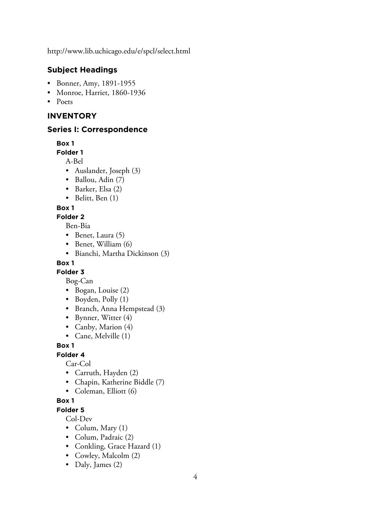http://www.lib.uchicago.edu/e/spcl/select.html

# **Subject Headings**

- Bonner, Amy, 1891-1955
- Monroe, Harriet, 1860-1936
- Poets

# **INVENTORY**

#### **Series I: Correspondence**

**Box 1**

#### **Folder 1**

A-Bel

- Auslander, Joseph (3)
- Ballou, Adin (7)
- Barker, Elsa (2)
- Belitt, Ben (1)

#### **Box 1**

# **Folder 2**

Ben-Bia

- Benet, Laura (5)
- Benet, William (6)
- Bianchi, Martha Dickinson (3)

## **Box 1**

# **Folder 3**

Bog-Can

- Bogan, Louise (2)
- Boyden, Polly (1)
- Branch, Anna Hempstead (3)
- Bynner, Witter (4)
- Canby, Marion (4)
- Cane, Melville (1)

# **Box 1**

#### **Folder 4**

Car-Col

- Carruth, Hayden (2)
- Chapin, Katherine Biddle (7)
- Coleman, Elliott (6)

# **Box 1**

**Folder 5**

Col-Dev

- Colum, Mary (1)
- Colum, Padraic (2)
- Conkling, Grace Hazard (1)
- Cowley, Malcolm (2)
- Daly, James (2)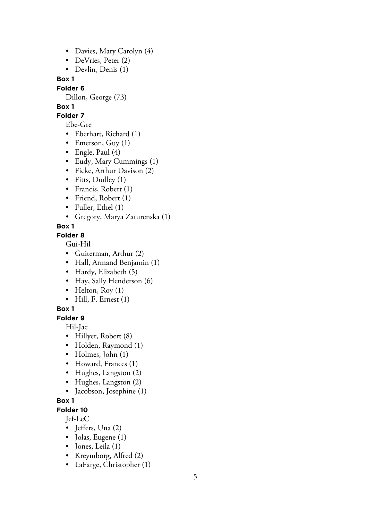- Davies, Mary Carolyn (4)
- DeVries, Peter (2)
- Devlin, Denis (1)

**Box 1**

#### **Folder 6**

Dillon, George (73)

# **Box 1**

**Folder 7**

Ebe-Gre

- Eberhart, Richard (1)
- Emerson, Guy  $(1)$
- Engle, Paul (4)
- Eudy, Mary Cummings (1)
- Ficke, Arthur Davison (2)
- Fitts, Dudley (1)
- Francis, Robert (1)
- Friend, Robert (1)
- Fuller, Ethel (1)
- Gregory, Marya Zaturenska (1)

# **Box 1**

## **Folder 8**

Gui-Hil

- Guiterman, Arthur (2)
- Hall, Armand Benjamin (1)
- Hardy, Elizabeth (5)
- Hay, Sally Henderson (6)
- Helton,  $Row(1)$
- Hill, F. Ernest (1)

# **Box 1**

**Folder 9**

Hil-Jac

- Hillyer, Robert (8)
- Holden, Raymond (1)
- Holmes, John (1)
- Howard, Frances (1)
- Hughes, Langston (2)
- Hughes, Langston (2)
- Jacobson, Josephine (1)

# **Box 1**

**Folder 10**

Jef-LeC

- Jeffers, Una (2)
- Jolas, Eugene (1)
- Jones, Leila (1)
- Kreymborg, Alfred (2)
- LaFarge, Christopher (1)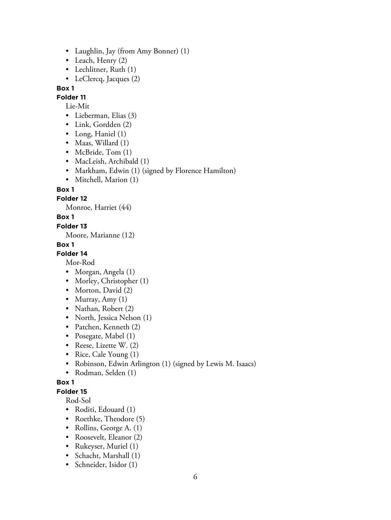- Laughlin, Jay (from Amy Bonner) (1)
- Leach, Henry (2)
- Lechlitner, Ruth (1)
- LeClercq, Jacques (2)

#### **Box 1**

**Folder 11**

## Lie-Mit

- Lieberman, Elias (3)
- Link, Gordden (2)
- Long, Haniel (1)
- Maas, Willard (1)
- McBride, Tom (1)
- MacLeish, Archibald (1)
- Markham, Edwin (1) (signed by Florence Hamilton)
- Mitchell, Marion (1)

#### **Box 1**

## **Folder 12**

Monroe, Harriet (44)

#### **Box 1**

#### **Folder 13**

Moore, Marianne (12)

#### **Box 1**

## **Folder 14**

Mor-Rod

- Morgan, Angela (1)
- Morley, Christopher (1)
- Morton, David (2)
- Murray, Amy  $(1)$
- Nathan, Robert (2)
- North, Jessica Nelson (1)
- Patchen, Kenneth (2)
- Posegate, Mabel (1)
- Reese, Lizette W. (2)
- Rice, Cale Young (1)
- Robinson, Edwin Arlington (1) (signed by Lewis M. Isaacs)
- Rodman, Selden (1)

#### **Box 1**

**Folder 15**

#### Rod-Sol

- Roditi, Edouard (1)
- Roethke, Theodore (5)
- Rollins, George A. (1)
- Roosevelt, Eleanor (2)
- Rukeyser, Muriel (1)
- Schacht, Marshall (1)
- Schneider, Isidor (1)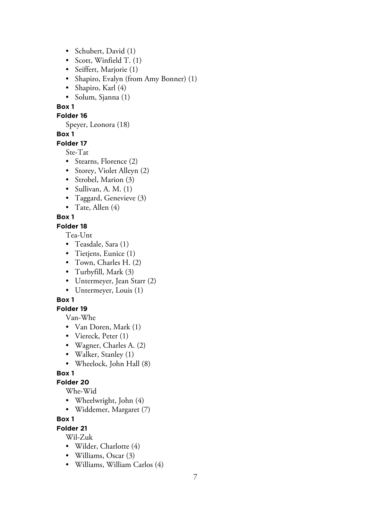- Schubert, David (1)
- Scott, Winfield T. (1)
- Seiffert, Marjorie (1)
- Shapiro, Evalyn (from Amy Bonner) (1)
- Shapiro, Karl (4)
- Solum, Sjanna (1)

## **Box 1**

#### **Folder 16**

Speyer, Leonora (18)

# **Box 1**

## **Folder 17**

Ste-Tat

- Stearns, Florence (2)
- Storey, Violet Alleyn (2)
- Strobel, Marion (3)
- Sullivan, A. M.  $(1)$
- Taggard, Genevieve (3)
- Tate, Allen  $(4)$

# **Box 1**

## **Folder 18**

Tea-Unt

- Teasdale, Sara (1)
- Tietjens, Eunice (1)
- Town, Charles H. (2)
- Turbyfill, Mark (3)
- Untermeyer, Jean Starr (2)
- Untermeyer, Louis (1)

# **Box 1**

# **Folder 19**

Van-Whe

- Van Doren, Mark (1)
- Viereck, Peter (1)
- Wagner, Charles A. (2)
- Walker, Stanley (1)
- Wheelock, John Hall (8)

# **Box 1**

# **Folder 20**

Whe-Wid

- Wheelwright, John (4)
- Widdemer, Margaret (7)

# **Box 1**

# **Folder 21**

Wil-Zuk

- Wilder, Charlotte (4)
- Williams, Oscar (3)
- Williams, William Carlos (4)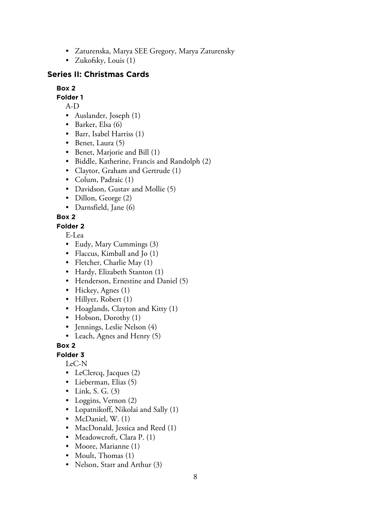- Zaturenska, Marya SEE Gregory, Marya Zaturensky
- Zukofsky, Louis (1)

# **Series II: Christmas Cards**

# **Box 2**

**Folder 1**

- A-D
- Auslander, Joseph (1)
- Barker, Elsa (6)
- Barr, Isabel Harriss (1)
- Benet, Laura (5)
- Benet, Marjorie and Bill (1)
- Biddle, Katherine, Francis and Randolph (2)
- Claytor, Graham and Gertrude (1)
- Colum, Padraic (1)
- Davidson, Gustav and Mollie (5)
- Dillon, George (2)
- Darnsfield, Jane (6)

# **Box 2**

**Folder 2**

E-Lea

- Eudy, Mary Cummings (3)
- Flaccus, Kimball and Jo (1)
- Fletcher, Charlie May (1)
- Hardy, Elizabeth Stanton (1)
- Henderson, Ernestine and Daniel (5)
- Hickey, Agnes (1)
- Hillyer, Robert (1)
- Hoaglands, Clayton and Kitty (1)
- Hobson, Dorothy (1)
- Jennings, Leslie Nelson (4)
- Leach, Agnes and Henry (5)

**Box 2**

**Folder 3**

LeC-N

- LeClercq, Jacques (2)
- Lieberman, Elias (5)
- Link, S. G.  $(3)$
- Loggins, Vernon (2)
- Lopatnikoff, Nikolai and Sally (1)
- McDaniel, W. (1)
- MacDonald, Jessica and Reed (1)
- Meadowcroft, Clara P. (1)
- Moore, Marianne (1)
- Moult, Thomas (1)
- Nelson, Starr and Arthur (3)